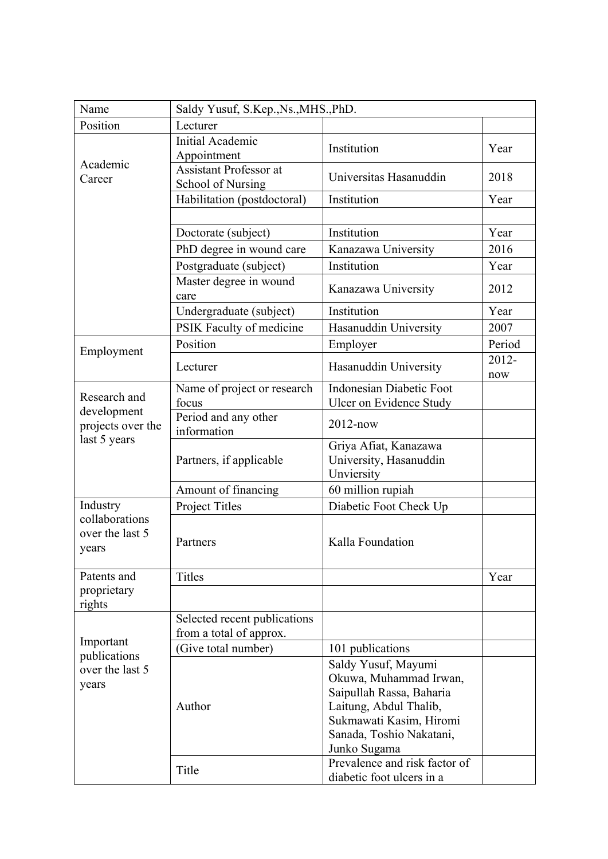| Name                                                   | Saldy Yusuf, S.Kep., Ns., MHS., PhD.               |                                                               |              |
|--------------------------------------------------------|----------------------------------------------------|---------------------------------------------------------------|--------------|
| Position                                               | Lecturer                                           |                                                               |              |
| Academic<br>Career                                     | <b>Initial Academic</b><br>Appointment             | Institution                                                   | Year         |
|                                                        | <b>Assistant Professor at</b><br>School of Nursing | Universitas Hasanuddin                                        | 2018         |
|                                                        | Habilitation (postdoctoral)                        | Institution                                                   | Year         |
|                                                        | Doctorate (subject)                                | Institution                                                   | Year         |
|                                                        | PhD degree in wound care                           | Kanazawa University                                           | 2016         |
|                                                        | Postgraduate (subject)                             | Institution                                                   | Year         |
|                                                        | Master degree in wound<br>care                     | Kanazawa University                                           | 2012         |
|                                                        | Undergraduate (subject)                            | Institution                                                   | Year         |
|                                                        | PSIK Faculty of medicine                           | Hasanuddin University                                         | 2007         |
|                                                        | Position                                           | Employer                                                      | Period       |
| Employment                                             | Lecturer                                           | Hasanuddin University                                         | 2012-<br>now |
| Research and                                           | Name of project or research                        | <b>Indonesian Diabetic Foot</b>                               |              |
| development                                            | focus<br>Period and any other                      | Ulcer on Evidence Study                                       |              |
| projects over the<br>last 5 years                      | information                                        | $2012 - now$                                                  |              |
|                                                        | Partners, if applicable                            | Griya Afiat, Kanazawa<br>University, Hasanuddin<br>Unviersity |              |
|                                                        | Amount of financing                                | 60 million rupiah                                             |              |
| Industry<br>collaborations<br>over the last 5<br>years | Project Titles                                     | Diabetic Foot Check Up                                        |              |
|                                                        | Partners                                           | Kalla Foundation                                              |              |
| Patents and                                            | <b>Titles</b>                                      |                                                               | Year         |
| proprietary<br>rights                                  |                                                    |                                                               |              |
| Important<br>publications<br>over the last 5<br>years  | Selected recent publications                       |                                                               |              |
|                                                        | from a total of approx.                            |                                                               |              |
|                                                        | (Give total number)                                | 101 publications                                              |              |
|                                                        |                                                    | Saldy Yusuf, Mayumi                                           |              |
|                                                        | Author                                             | Okuwa, Muhammad Irwan,                                        |              |
|                                                        |                                                    | Saipullah Rassa, Baharia                                      |              |
|                                                        |                                                    | Laitung, Abdul Thalib,<br>Sukmawati Kasim, Hiromi             |              |
|                                                        |                                                    | Sanada, Toshio Nakatani,                                      |              |
|                                                        |                                                    | Junko Sugama                                                  |              |
|                                                        | Title                                              | Prevalence and risk factor of<br>diabetic foot ulcers in a    |              |